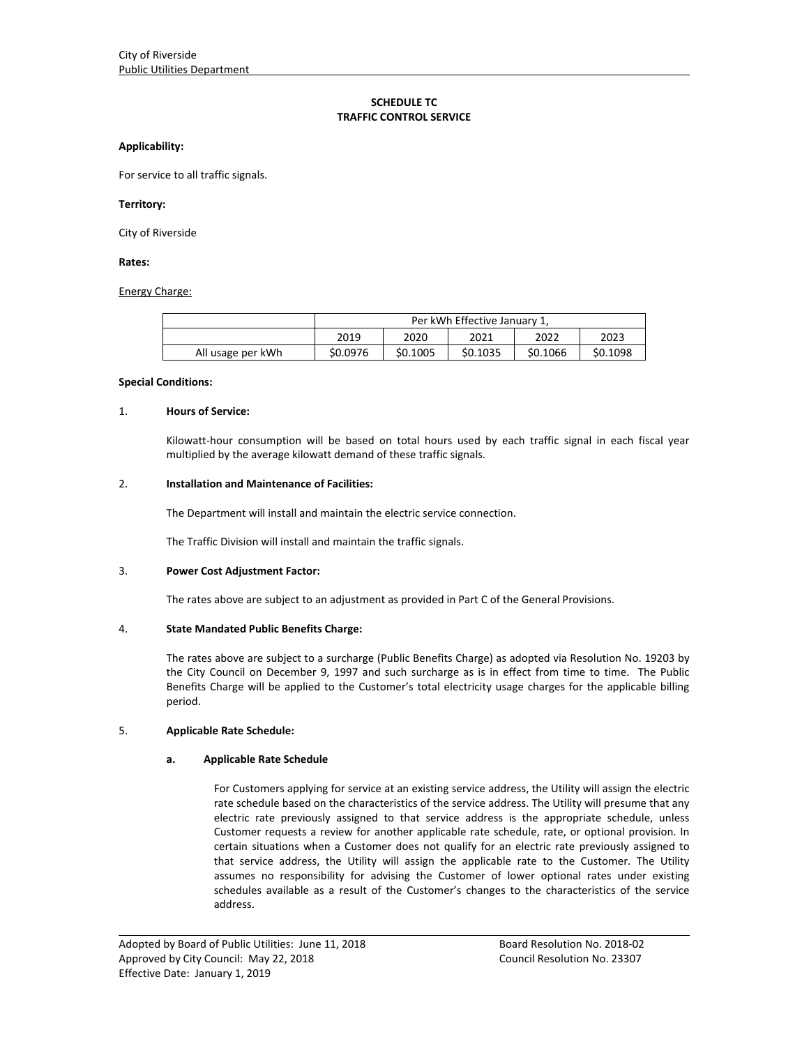# **SCHEDULE TC TRAFFIC CONTROL SERVICE**

#### **Applicability:**

For service to all traffic signals.

#### **Territory:**

City of Riverside

### **Rates:**

Energy Charge:

|                   | Per kWh Effective January 1, |          |          |          |          |
|-------------------|------------------------------|----------|----------|----------|----------|
|                   | 2019                         | 2020     | 2021     | 2022     | 2023     |
| All usage per kWh | \$0.0976                     | \$0.1005 | \$0.1035 | \$0.1066 | \$0.1098 |

### **Special Conditions:**

#### 1. **Hours of Service:**

Kilowatt-hour consumption will be based on total hours used by each traffic signal in each fiscal year multiplied by the average kilowatt demand of these traffic signals.

### 2. **Installation and Maintenance of Facilities:**

The Department will install and maintain the electric service connection.

The Traffic Division will install and maintain the traffic signals.

# 3. **Power Cost Adjustment Factor:**

The rates above are subject to an adjustment as provided in Part C of the General Provisions.

# 4. **State Mandated Public Benefits Charge:**

The rates above are subject to a surcharge (Public Benefits Charge) as adopted via Resolution No. 19203 by the City Council on December 9, 1997 and such surcharge as is in effect from time to time. The Public Benefits Charge will be applied to the Customer's total electricity usage charges for the applicable billing period.

# 5. **Applicable Rate Schedule:**

# **a. Applicable Rate Schedule**

For Customers applying for service at an existing service address, the Utility will assign the electric rate schedule based on the characteristics of the service address. The Utility will presume that any electric rate previously assigned to that service address is the appropriate schedule, unless Customer requests a review for another applicable rate schedule, rate, or optional provision. In certain situations when a Customer does not qualify for an electric rate previously assigned to that service address, the Utility will assign the applicable rate to the Customer. The Utility assumes no responsibility for advising the Customer of lower optional rates under existing schedules available as a result of the Customer's changes to the characteristics of the service address.

<u> 1989 - Johann Stoff, amerikansk politiker (d. 1989)</u>